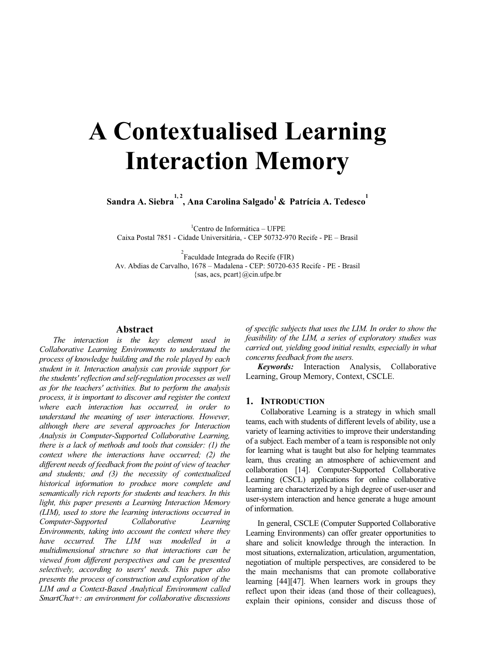# **A Contextualised Learning Interaction Memory**

**Sandra A. Siebra1, 2 , Ana Carolina Salgado<sup>1</sup> & Patrícia A. Tedesco 1**

 ${}^{1}$ Centro de Informática – UFPE Caixa Postal 7851 - Cidade Universitária, - CEP 50732-970 Recife - PE – Brasil

<sup>2</sup><br>Faculdade Integrada do Recife (FIR) Av. Abdias de Carvalho, 1678 – Madalena - CEP: 50720-635 Recife - PE - Brasil  $\{sas, acs, pcart\}$  (*a*)cin.ufpe.br

#### **Abstract**

 *The interaction is the key element used in Collaborative Learning Environments to understand the process of knowledge building and the role played by each student in it. Interaction analysis can provide support for the students' reflection and self-regulation processes as well as for the teachers' activities. But to perform the analysis process, it is important to discover and register the context where each interaction has occurred, in order to understand the meaning of user interactions. However, although there are several approaches for Interaction Analysis in Computer-Supported Collaborative Learning, there is a lack of methods and tools that consider: (1) the context where the interactions have occurred; (2) the different needs of feedback from the point of view of teacher and students; and (3) the necessity of contextualized historical information to produce more complete and semantically rich reports for students and teachers. In this light, this paper presents a Learning Interaction Memory (LIM), used to store the learning interactions occurred in Computer-Supported Collaborative Learning Environments, taking into account the context where they have occurred. The LIM was modelled in a multidimensional structure so that interactions can be viewed from different perspectives and can be presented selectively, according to users' needs. This paper also presents the process of construction and exploration of the LIM and a Context-Based Analytical Environment called SmartChat+: an environment for collaborative discussions* 

*of specific subjects that uses the LIM. In order to show the feasibility of the LIM, a series of exploratory studies was carried out, yielding good initial results, especially in what concerns feedback from the users.* 

*Keywords:* Interaction Analysis, Collaborative Learning, Group Memory, Context, CSCLE.

#### **1. INTRODUCTION**

 Collaborative Learning is a strategy in which small teams, each with students of different levels of ability, use a variety of learning activities to improve their understanding of a subject. Each member of a team is responsible not only for learning what is taught but also for helping teammates learn, thus creating an atmosphere of achievement and collaboration [14]. Computer-Supported Collaborative Learning (CSCL) applications for online collaborative learning are characterized by a high degree of user-user and user-system interaction and hence generate a huge amount of information.

In general, CSCLE (Computer Supported Collaborative Learning Environments) can offer greater opportunities to share and solicit knowledge through the interaction. In most situations, externalization, articulation, argumentation, negotiation of multiple perspectives, are considered to be the main mechanisms that can promote collaborative learning [44][47]. When learners work in groups they reflect upon their ideas (and those of their colleagues), explain their opinions, consider and discuss those of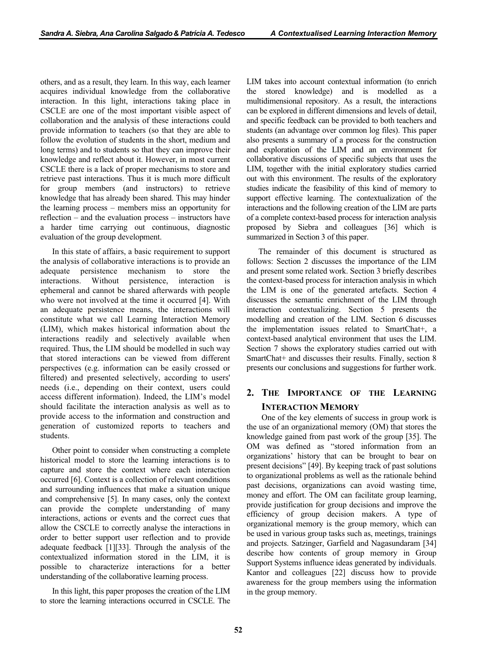others, and as a result, they learn. In this way, each learner acquires individual knowledge from the collaborative interaction. In this light, interactions taking place in CSCLE are one of the most important visible aspect of collaboration and the analysis of these interactions could provide information to teachers (so that they are able to follow the evolution of students in the short, medium and long terms) and to students so that they can improve their knowledge and reflect about it. However, in most current CSCLE there is a lack of proper mechanisms to store and retrieve past interactions. Thus it is much more difficult for group members (and instructors) to retrieve knowledge that has already been shared. This may hinder the learning process – members miss an opportunity for reflection – and the evaluation process – instructors have a harder time carrying out continuous, diagnostic evaluation of the group development.

In this state of affairs, a basic requirement to support the analysis of collaborative interactions is to provide an adequate persistence mechanism to store the interactions. Without persistence, interaction is ephemeral and cannot be shared afterwards with people who were not involved at the time it occurred [4]. With an adequate persistence means, the interactions will constitute what we call Learning Interaction Memory (LIM), which makes historical information about the interactions readily and selectively available when required. Thus, the LIM should be modelled in such way that stored interactions can be viewed from different perspectives (e.g. information can be easily crossed or filtered) and presented selectively, according to users' needs (i.e., depending on their context, users could access different information). Indeed, the LIM's model should facilitate the interaction analysis as well as to provide access to the information and construction and generation of customized reports to teachers and students.

Other point to consider when constructing a complete historical model to store the learning interactions is to capture and store the context where each interaction occurred [6]. Context is a collection of relevant conditions and surrounding influences that make a situation unique and comprehensive [5]. In many cases, only the context can provide the complete understanding of many interactions, actions or events and the correct cues that allow the CSCLE to correctly analyse the interactions in order to better support user reflection and to provide adequate feedback [1][33]. Through the analysis of the contextualized information stored in the LIM, it is possible to characterize interactions for a better understanding of the collaborative learning process.

In this light, this paper proposes the creation of the LIM to store the learning interactions occurred in CSCLE. The

LIM takes into account contextual information (to enrich the stored knowledge) and is modelled as a multidimensional repository. As a result, the interactions can be explored in different dimensions and levels of detail, and specific feedback can be provided to both teachers and students (an advantage over common log files). This paper also presents a summary of a process for the construction and exploration of the LIM and an environment for collaborative discussions of specific subjects that uses the LIM, together with the initial exploratory studies carried out with this environment. The results of the exploratory studies indicate the feasibility of this kind of memory to support effective learning. The contextualization of the interactions and the following creation of the LIM are parts of a complete context-based process for interaction analysis proposed by Siebra and colleagues [36] which is summarized in Section 3 of this paper.

The remainder of this document is structured as follows: Section 2 discusses the importance of the LIM and present some related work. Section 3 briefly describes the context-based process for interaction analysis in which the LIM is one of the generated artefacts. Section 4 discusses the semantic enrichment of the LIM through interaction contextualizing. Section 5 presents the modelling and creation of the LIM. Section 6 discusses the implementation issues related to SmartChat+, a context-based analytical environment that uses the LIM. Section 7 shows the exploratory studies carried out with SmartChat+ and discusses their results. Finally, section 8 presents our conclusions and suggestions for further work.

# **2. THE IMPORTANCE OF THE LEARNING INTERACTION MEMORY**

 One of the key elements of success in group work is the use of an organizational memory (OM) that stores the knowledge gained from past work of the group [35]. The OM was defined as "stored information from an organizations' history that can be brought to bear on present decisions" [49]. By keeping track of past solutions to organizational problems as well as the rationale behind past decisions, organizations can avoid wasting time, money and effort. The OM can facilitate group learning, provide justification for group decisions and improve the efficiency of group decision makers. A type of organizational memory is the group memory, which can be used in various group tasks such as, meetings, trainings and projects. Satzinger, Garfield and Nagasundaram [34] describe how contents of group memory in Group Support Systems influence ideas generated by individuals. Kantor and colleagues [22] discuss how to provide awareness for the group members using the information in the group memory.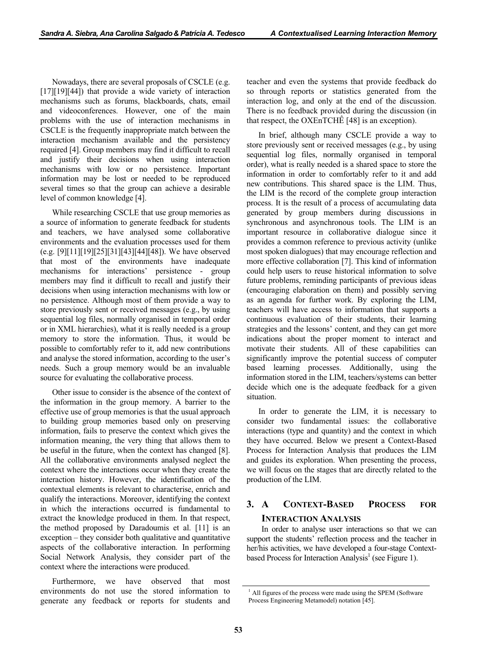Nowadays, there are several proposals of CSCLE (e.g. [17][19][44]) that provide a wide variety of interaction mechanisms such as forums, blackboards, chats, email and videoconferences. However, one of the main problems with the use of interaction mechanisms in CSCLE is the frequently inappropriate match between the interaction mechanism available and the persistency required [4]. Group members may find it difficult to recall and justify their decisions when using interaction mechanisms with low or no persistence. Important information may be lost or needed to be reproduced several times so that the group can achieve a desirable level of common knowledge [4].

While researching CSCLE that use group memories as a source of information to generate feedback for students and teachers, we have analysed some collaborative environments and the evaluation processes used for them (e.g. [9][11][19][25][31][43][44][48]). We have observed that most of the environments have inadequate mechanisms for interactions' persistence - group members may find it difficult to recall and justify their decisions when using interaction mechanisms with low or no persistence. Although most of them provide a way to store previously sent or received messages (e.g., by using sequential log files, normally organised in temporal order or in XML hierarchies), what it is really needed is a group memory to store the information. Thus, it would be possible to comfortably refer to it, add new contributions and analyse the stored information, according to the user's needs. Such a group memory would be an invaluable source for evaluating the collaborative process.

Other issue to consider is the absence of the context of the information in the group memory. A barrier to the effective use of group memories is that the usual approach to building group memories based only on preserving information, fails to preserve the context which gives the information meaning, the very thing that allows them to be useful in the future, when the context has changed [8]. All the collaborative environments analysed neglect the context where the interactions occur when they create the interaction history. However, the identification of the contextual elements is relevant to characterise, enrich and qualify the interactions. Moreover, identifying the context in which the interactions occurred is fundamental to extract the knowledge produced in them. In that respect, the method proposed by Daradoumis et al. [11] is an exception – they consider both qualitative and quantitative aspects of the collaborative interaction. In performing Social Network Analysis, they consider part of the context where the interactions were produced.

Furthermore, we have observed that most environments do not use the stored information to generate any feedback or reports for students and teacher and even the systems that provide feedback do so through reports or statistics generated from the interaction log, and only at the end of the discussion. There is no feedback provided during the discussion (in that respect, the OXEnTCHÊ [48] is an exception).

In brief, although many CSCLE provide a way to store previously sent or received messages (e.g., by using sequential log files, normally organised in temporal order), what is really needed is a shared space to store the information in order to comfortably refer to it and add new contributions. This shared space is the LIM. Thus, the LIM is the record of the complete group interaction process. It is the result of a process of accumulating data generated by group members during discussions in synchronous and asynchronous tools. The LIM is an important resource in collaborative dialogue since it provides a common reference to previous activity (unlike most spoken dialogues) that may encourage reflection and more effective collaboration [7]. This kind of information could help users to reuse historical information to solve future problems, reminding participants of previous ideas (encouraging elaboration on them) and possibly serving as an agenda for further work. By exploring the LIM, teachers will have access to information that supports a continuous evaluation of their students, their learning strategies and the lessons' content, and they can get more indications about the proper moment to interact and motivate their students. All of these capabilities can significantly improve the potential success of computer based learning processes. Additionally, using the information stored in the LIM, teachers/systems can better decide which one is the adequate feedback for a given situation.

In order to generate the LIM, it is necessary to consider two fundamental issues: the collaborative interactions (type and quantity) and the context in which they have occurred. Below we present a Context-Based Process for Interaction Analysis that produces the LIM and guides its exploration. When presenting the process, we will focus on the stages that are directly related to the production of the LIM.

# **3. A CONTEXT-BASED PROCESS FOR INTERACTION ANALYSIS**

 In order to analyse user interactions so that we can support the students' reflection process and the teacher in her/his activities, we have developed a four-stage Contextbased Process for Interaction Analysis<sup>1</sup> (see Figure 1).

<sup>&</sup>lt;sup>1</sup> All figures of the process were made using the SPEM (Software Process Engineering Metamodel) notation [45].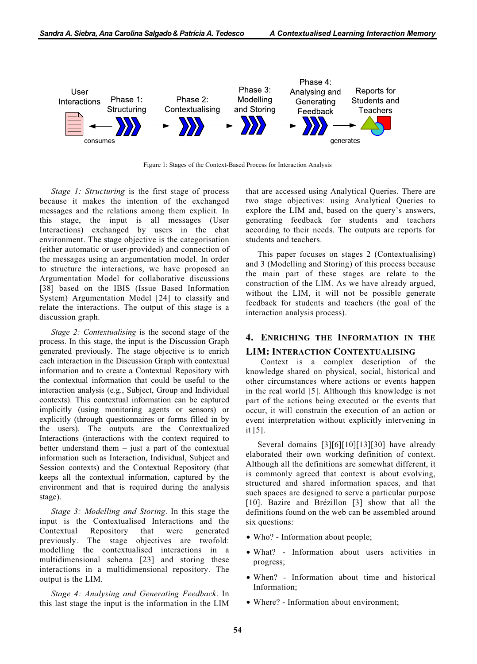

Figure 1: Stages of the Context-Based Process for Interaction Analysis

*Stage 1: Structuring* is the first stage of process because it makes the intention of the exchanged messages and the relations among them explicit. In this stage, the input is all messages (User Interactions) exchanged by users in the chat environment. The stage objective is the categorisation (either automatic or user-provided) and connection of the messages using an argumentation model. In order to structure the interactions, we have proposed an Argumentation Model for collaborative discussions [38] based on the IBIS (Issue Based Information System) Argumentation Model [24] to classify and relate the interactions. The output of this stage is a discussion graph.

*Stage 2: Contextualising* is the second stage of the process. In this stage, the input is the Discussion Graph generated previously. The stage objective is to enrich each interaction in the Discussion Graph with contextual information and to create a Contextual Repository with the contextual information that could be useful to the interaction analysis (e.g., Subject, Group and Individual contexts). This contextual information can be captured implicitly (using monitoring agents or sensors) or explicitly (through questionnaires or forms filled in by the users). The outputs are the Contextualized Interactions (interactions with the context required to better understand them  $-$  just a part of the contextual information such as Interaction, Individual, Subject and Session contexts) and the Contextual Repository (that keeps all the contextual information, captured by the environment and that is required during the analysis stage).

*Stage 3: Modelling and Storing*. In this stage the input is the Contextualised Interactions and the Contextual Repository that were generated previously. The stage objectives are twofold: modelling the contextualised interactions in a multidimensional schema [23] and storing these interactions in a multidimensional repository. The output is the LIM.

*Stage 4: Analysing and Generating Feedback*. In this last stage the input is the information in the LIM that are accessed using Analytical Queries. There are two stage objectives: using Analytical Queries to explore the LIM and, based on the query's answers, generating feedback for students and teachers according to their needs. The outputs are reports for students and teachers.

This paper focuses on stages 2 (Contextualising) and 3 (Modelling and Storing) of this process because the main part of these stages are relate to the construction of the LIM. As we have already argued, without the LIM, it will not be possible generate feedback for students and teachers (the goal of the interaction analysis process).

# **4. ENRICHING THE INFORMATION IN THE**

## **LIM: INTERACTION CONTEXTUALISING**

 Context is a complex description of the knowledge shared on physical, social, historical and other circumstances where actions or events happen in the real world [5]. Although this knowledge is not part of the actions being executed or the events that occur, it will constrain the execution of an action or event interpretation without explicitly intervening in it [5].

Several domains [3][6][10][13][30] have already elaborated their own working definition of context. Although all the definitions are somewhat different, it is commonly agreed that context is about evolving, structured and shared information spaces, and that such spaces are designed to serve a particular purpose [10]. Bazire and Brézillon [3] show that all the definitions found on the web can be assembled around six questions:

- Who? Information about people;
- What? Information about users activities in progress;
- When? Information about time and historical Information;
- Where? Information about environment;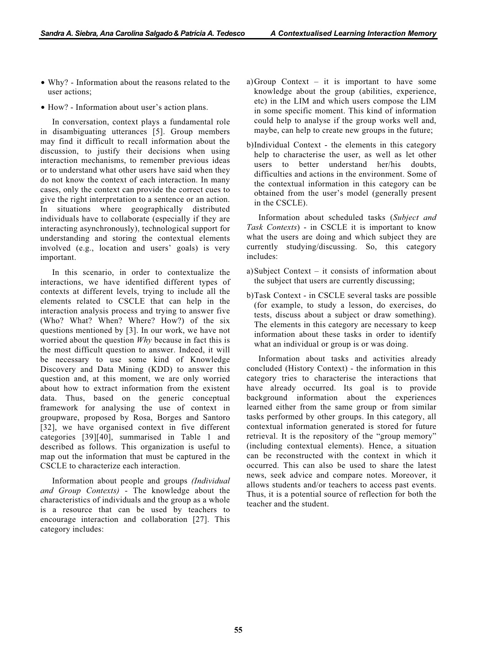- Why? Information about the reasons related to the user actions;
- How? Information about user's action plans.

In conversation, context plays a fundamental role in disambiguating utterances [5]. Group members may find it difficult to recall information about the discussion, to justify their decisions when using interaction mechanisms, to remember previous ideas or to understand what other users have said when they do not know the context of each interaction. In many cases, only the context can provide the correct cues to give the right interpretation to a sentence or an action. In situations where geographically distributed individuals have to collaborate (especially if they are interacting asynchronously), technological support for understanding and storing the contextual elements involved (e.g., location and users' goals) is very important.

In this scenario, in order to contextualize the interactions, we have identified different types of contexts at different levels, trying to include all the elements related to CSCLE that can help in the interaction analysis process and trying to answer five (Who? What? When? Where? How?) of the six questions mentioned by [3]. In our work, we have not worried about the question *Why* because in fact this is the most difficult question to answer. Indeed, it will be necessary to use some kind of Knowledge Discovery and Data Mining (KDD) to answer this question and, at this moment, we are only worried about how to extract information from the existent data. Thus, based on the generic conceptual framework for analysing the use of context in groupware, proposed by Rosa, Borges and Santoro [32], we have organised context in five different categories [39][40], summarised in Table 1 and described as follows. This organization is useful to map out the information that must be captured in the CSCLE to characterize each interaction.

Information about people and groups *(Individual and Group Contexts)* - The knowledge about the characteristics of individuals and the group as a whole is a resource that can be used by teachers to encourage interaction and collaboration [27]. This category includes:

- a)Group Context it is important to have some knowledge about the group (abilities, experience, etc) in the LIM and which users compose the LIM in some specific moment. This kind of information could help to analyse if the group works well and, maybe, can help to create new groups in the future;
- b)Individual Context the elements in this category help to characterise the user, as well as let other users to better understand her/his doubts, difficulties and actions in the environment. Some of the contextual information in this category can be obtained from the user's model (generally present in the CSCLE).

Information about scheduled tasks (*Subject and Task Contexts*) - in CSCLE it is important to know what the users are doing and which subject they are currently studying/discussing. So, this category includes:

- a)Subject Context it consists of information about the subject that users are currently discussing;
- b)Task Context in CSCLE several tasks are possible (for example, to study a lesson, do exercises, do tests, discuss about a subject or draw something). The elements in this category are necessary to keep information about these tasks in order to identify what an individual or group is or was doing.

Information about tasks and activities already concluded (History Context) - the information in this category tries to characterise the interactions that have already occurred. Its goal is to provide background information about the experiences learned either from the same group or from similar tasks performed by other groups. In this category, all contextual information generated is stored for future retrieval. It is the repository of the "group memory" (including contextual elements). Hence, a situation can be reconstructed with the context in which it occurred. This can also be used to share the latest news, seek advice and compare notes. Moreover, it allows students and/or teachers to access past events. Thus, it is a potential source of reflection for both the teacher and the student.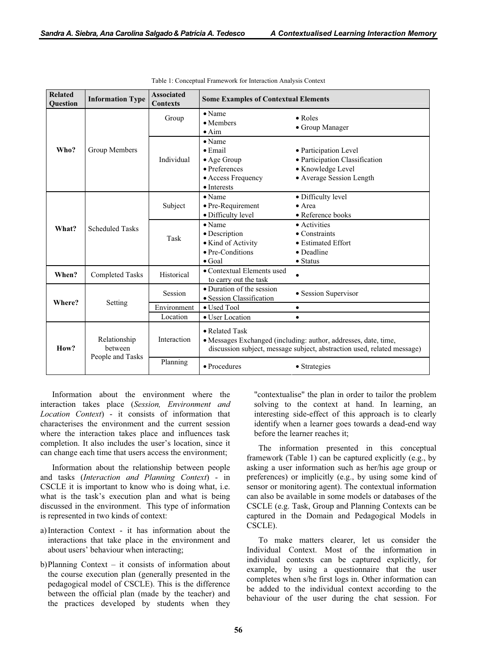| <b>Related</b><br><b>Question</b> | <b>Information Type</b>                     | <b>Associated</b><br><b>Contexts</b> | <b>Some Examples of Contextual Elements</b>                                                                                                                  |                                                                                                          |  |
|-----------------------------------|---------------------------------------------|--------------------------------------|--------------------------------------------------------------------------------------------------------------------------------------------------------------|----------------------------------------------------------------------------------------------------------|--|
| Who?                              | Group Members                               | Group                                | $\bullet$ Name<br>• Members<br>$\bullet$ Aim                                                                                                                 | $\bullet$ Roles<br>• Group Manager                                                                       |  |
|                                   |                                             | Individual                           | $\bullet$ Name<br>$\bullet$ Email<br>$\bullet$ Age Group<br>• Preferences<br>• Access Frequency<br>$\bullet$ Interests                                       | • Participation Level<br>· Participation Classification<br>• Knowledge Level<br>• Average Session Length |  |
| What?                             | <b>Scheduled Tasks</b>                      | Subject                              | $\bullet$ Name<br>• Pre-Requirement<br>• Difficulty level                                                                                                    | • Difficulty level<br>• Area<br>• Reference books                                                        |  |
|                                   |                                             | Task                                 | $\bullet$ Name<br>• Description<br>• Kind of Activity<br>• Pre-Conditions<br>$\bullet$ Goal                                                                  | • Activities<br>$\bullet$ Constraints<br>• Estimated Effort<br>• Deadline<br>$\bullet$ Status            |  |
| When?                             | <b>Completed Tasks</b>                      | Historical                           | • Contextual Elements used<br>to carry out the task                                                                                                          |                                                                                                          |  |
| Where?                            | Setting                                     | Session                              | • Duration of the session<br>• Session Classification                                                                                                        | • Session Supervisor                                                                                     |  |
|                                   |                                             | Environment                          | • Used Tool                                                                                                                                                  | $\bullet$                                                                                                |  |
|                                   |                                             | Location                             | • User Location                                                                                                                                              | $\bullet$                                                                                                |  |
| How?                              | Relationship<br>between<br>People and Tasks | Interaction                          | • Related Task<br>• Messages Exchanged (including: author, addresses, date, time,<br>discussion subject, message subject, abstraction used, related message) |                                                                                                          |  |
|                                   |                                             | Planning                             | • Procedures                                                                                                                                                 | • Strategies                                                                                             |  |

Table 1: Conceptual Framework for Interaction Analysis Context

Information about the environment where the interaction takes place (*Session, Environment and Location Context*) - it consists of information that characterises the environment and the current session where the interaction takes place and influences task completion. It also includes the user's location, since it can change each time that users access the environment;

Information about the relationship between people and tasks (*Interaction and Planning Context*) - in CSCLE it is important to know who is doing what, i.e. what is the task's execution plan and what is being discussed in the environment. This type of information is represented in two kinds of context:

- a)Interaction Context it has information about the interactions that take place in the environment and about users' behaviour when interacting;
- b)Planning Context it consists of information about the course execution plan (generally presented in the pedagogical model of CSCLE). This is the difference between the official plan (made by the teacher) and the practices developed by students when they

"contextualise" the plan in order to tailor the problem solving to the context at hand. In learning, an interesting side-effect of this approach is to clearly identify when a learner goes towards a dead-end way before the learner reaches it;

The information presented in this conceptual framework (Table 1) can be captured explicitly (e.g., by asking a user information such as her/his age group or preferences) or implicitly (e.g., by using some kind of sensor or monitoring agent). The contextual information can also be available in some models or databases of the CSCLE (e.g. Task, Group and Planning Contexts can be captured in the Domain and Pedagogical Models in CSCLE).

To make matters clearer, let us consider the Individual Context. Most of the information in individual contexts can be captured explicitly, for example, by using a questionnaire that the user completes when s/he first logs in. Other information can be added to the individual context according to the behaviour of the user during the chat session. For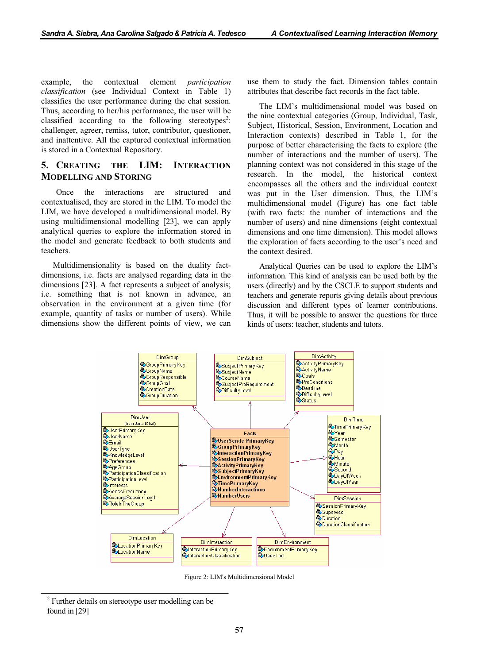example, the contextual element *participation classification* (see Individual Context in Table 1) classifies the user performance during the chat session. Thus, according to her/his performance, the user will be classified according to the following stereotypes<sup>2</sup>: challenger, agreer, remiss, tutor, contributor, questioner, and inattentive. All the captured contextual information is stored in a Contextual Repository.

## **5. CREATING THE LIM: INTERACTION MODELLING AND STORING**

 Once the interactions are structured and contextualised, they are stored in the LIM. To model the LIM, we have developed a multidimensional model. By using multidimensional modelling [23], we can apply analytical queries to explore the information stored in the model and generate feedback to both students and teachers.

Multidimensionality is based on the duality factdimensions, i.e. facts are analysed regarding data in the dimensions [23]. A fact represents a subject of analysis; i.e. something that is not known in advance, an observation in the environment at a given time (for example, quantity of tasks or number of users). While dimensions show the different points of view, we can

use them to study the fact. Dimension tables contain attributes that describe fact records in the fact table.

The LIM's multidimensional model was based on the nine contextual categories (Group, Individual, Task, Subject, Historical, Session, Environment, Location and Interaction contexts) described in Table 1, for the purpose of better characterising the facts to explore (the number of interactions and the number of users). The planning context was not considered in this stage of the research. In the model, the historical context encompasses all the others and the individual context was put in the User dimension. Thus, the LIM's multidimensional model (Figure) has one fact table (with two facts: the number of interactions and the number of users) and nine dimensions (eight contextual dimensions and one time dimension). This model allows the exploration of facts according to the user's need and the context desired.

Analytical Queries can be used to explore the LIM's information. This kind of analysis can be used both by the users (directly) and by the CSCLE to support students and teachers and generate reports giving details about previous discussion and different types of learner contributions. Thus, it will be possible to answer the questions for three kinds of users: teacher, students and tutors.



Figure 2: LIM's Multidimensional Model

<sup>&</sup>lt;sup>2</sup> Further details on stereotype user modelling can be found in [29]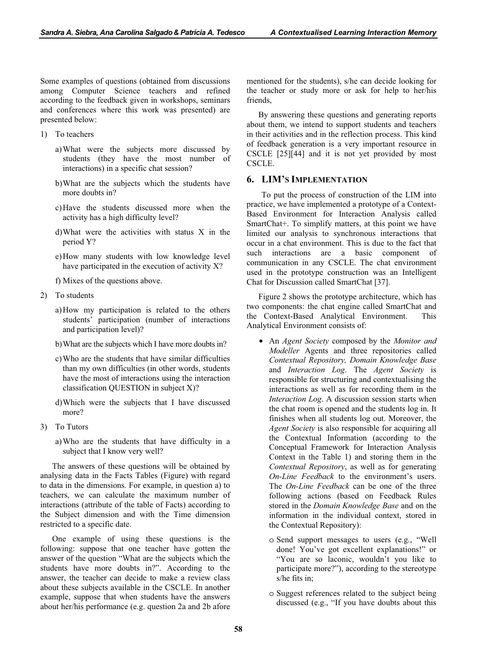Some examples of questions (obtained from discussions among Computer Science teachers and refined according to the feedback given in workshops, seminars and conferences where this work was presented) are presented below:

- 1) To teachers
	- a)What were the subjects more discussed by students (they have the most number of interactions) in a specific chat session?
	- b)What are the subjects which the students have more doubts in?
	- c)Have the students discussed more when the activity has a high difficulty level?
	- d)What were the activities with status X in the period Y?
	- e)How many students with low knowledge level have participated in the execution of activity X?
	- f) Mixes of the questions above.
- 2) To students
	- a)How my participation is related to the others students' participation (number of interactions and participation level)?
	- b)What are the subjects which I have more doubts in?
	- c)Who are the students that have similar difficulties than my own difficulties (in other words, students have the most of interactions using the interaction classification QUESTION in subject X)?
	- d)Which were the subjects that I have discussed more?
- 3) To Tutors
	- a)Who are the students that have difficulty in a subject that I know very well?

The answers of these questions will be obtained by analysing data in the Facts Tables (Figure) with regard to data in the dimensions. For example, in question a) to teachers, we can calculate the maximum number of interactions (attribute of the table of Facts) according to the Subject dimension and with the Time dimension restricted to a specific date.

One example of using these questions is the following: suppose that one teacher have gotten the answer of the question "What are the subjects which the students have more doubts in?". According to the answer, the teacher can decide to make a review class about these subjects available in the CSCLE. In another example, suppose that when students have the answers about her/his performance (e.g. question 2a and 2b afore

mentioned for the students), s/he can decide looking for the teacher or study more or ask for help to her/his friends,

By answering these questions and generating reports about them, we intend to support students and teachers in their activities and in the reflection process. This kind of feedback generation is a very important resource in CSCLE [25][44] and it is not yet provided by most CSCLE.

#### **6. LIM'S IMPLEMENTATION**

 To put the process of construction of the LIM into practice, we have implemented a prototype of a Context-Based Environment for Interaction Analysis called SmartChat+. To simplify matters, at this point we have limited our analysis to synchronous interactions that occur in a chat environment. This is due to the fact that such interactions are a basic component of communication in any CSCLE. The chat environment used in the prototype construction was an Intelligent Chat for Discussion called SmartChat [37].

Figure 2 shows the prototype architecture, which has two components: the chat engine called SmartChat and the Context-Based Analytical Environment. This Analytical Environment consists of:

- An *Agent Society* composed by the *Monitor and Modeller* Agents and three repositories called *Contextual Repository, Domain Knowledge Base* and *Interaction Log*. The *Agent Society* is responsible for structuring and contextualising the interactions as well as for recording them in the *Interaction Log*. A discussion session starts when the chat room is opened and the students log in. It finishes when all students log out. Moreover, the *Agent Society* is also responsible for acquiring all the Contextual Information (according to the Conceptual Framework for Interaction Analysis Context in the Table 1) and storing them in the *Contextual Repository*, as well as for generating *On-Line Feedback* to the environment's users. The *On-Line Feedback* can be one of the three following actions (based on Feedback Rules stored in the *Domain Knowledge Base* and on the information in the individual context, stored in the Contextual Repository):
	- o Send support messages to users (e.g., "Well done! You've got excellent explanations!" or "You are so laconic, wouldn't you like to participate more?"), according to the stereotype s/he fits in;
	- o Suggest references related to the subject being discussed (e.g., "If you have doubts about this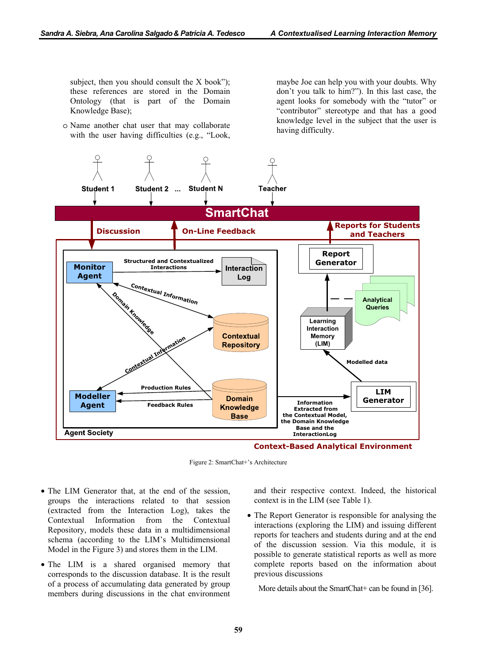subject, then you should consult the X book"); these references are stored in the Domain Ontology (that is part of the Domain Knowledge Base);

o Name another chat user that may collaborate with the user having difficulties (e.g., "Look, maybe Joe can help you with your doubts. Why don't you talk to him?"). In this last case, the agent looks for somebody with the "tutor" or "contributor" stereotype and that has a good knowledge level in the subject that the user is having difficulty.



**Context-Based Analytical Environment**

Figure 2: SmartChat+'s Architecture

- The LIM Generator that, at the end of the session, groups the interactions related to that session (extracted from the Interaction Log), takes the Contextual Information from the Contextual Repository, models these data in a multidimensional schema (according to the LIM's Multidimensional Model in the Figure 3) and stores them in the LIM.
- The LIM is a shared organised memory that corresponds to the discussion database. It is the result of a process of accumulating data generated by group members during discussions in the chat environment

and their respective context. Indeed, the historical context is in the LIM (see Table 1).

• The Report Generator is responsible for analysing the interactions (exploring the LIM) and issuing different reports for teachers and students during and at the end of the discussion session. Via this module, it is possible to generate statistical reports as well as more complete reports based on the information about previous discussions

More details about the SmartChat+ can be found in [36].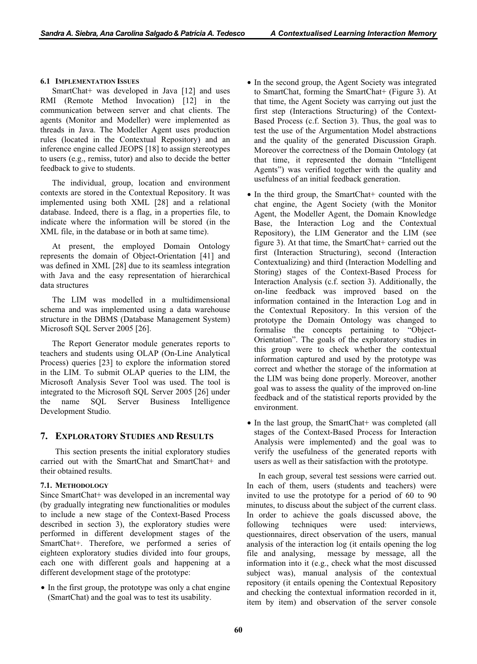#### **6.1 IMPLEMENTATION ISSUES**

SmartChat+ was developed in Java [12] and uses RMI (Remote Method Invocation) [12] in the communication between server and chat clients. The agents (Monitor and Modeller) were implemented as threads in Java. The Modeller Agent uses production rules (located in the Contextual Repository) and an inference engine called JEOPS [18] to assign stereotypes to users (e.g., remiss, tutor) and also to decide the better feedback to give to students.

The individual, group, location and environment contexts are stored in the Contextual Repository. It was implemented using both XML [28] and a relational database. Indeed, there is a flag, in a properties file, to indicate where the information will be stored (in the XML file, in the database or in both at same time).

At present, the employed Domain Ontology represents the domain of Object-Orientation [41] and was defined in XML [28] due to its seamless integration with Java and the easy representation of hierarchical data structures

The LIM was modelled in a multidimensional schema and was implemented using a data warehouse structure in the DBMS (Database Management System) Microsoft SQL Server 2005 [26].

The Report Generator module generates reports to teachers and students using OLAP (On-Line Analytical Process) queries [23] to explore the information stored in the LIM. To submit OLAP queries to the LIM, the Microsoft Analysis Sever Tool was used. The tool is integrated to the Microsoft SQL Server 2005 [26] under the name SQL Server Business Intelligence Development Studio.

## **7. EXPLORATORY STUDIES AND RESULTS**

 This section presents the initial exploratory studies carried out with the SmartChat and SmartChat+ and their obtained results.

## **7.1. METHODOLOGY**

Since SmartChat+ was developed in an incremental way (by gradually integrating new functionalities or modules to include a new stage of the Context-Based Process described in section 3), the exploratory studies were performed in different development stages of the SmartChat+. Therefore, we performed a series of eighteen exploratory studies divided into four groups, each one with different goals and happening at a different development stage of the prototype:

• In the first group, the prototype was only a chat engine (SmartChat) and the goal was to test its usability.

- In the second group, the Agent Society was integrated to SmartChat, forming the SmartChat+ (Figure 3). At that time, the Agent Society was carrying out just the first step (Interactions Structuring) of the Context-Based Process (c.f. Section 3). Thus, the goal was to test the use of the Argumentation Model abstractions and the quality of the generated Discussion Graph. Moreover the correctness of the Domain Ontology (at that time, it represented the domain "Intelligent Agents") was verified together with the quality and usefulness of an initial feedback generation.
- In the third group, the SmartChat+ counted with the chat engine, the Agent Society (with the Monitor Agent, the Modeller Agent, the Domain Knowledge Base, the Interaction Log and the Contextual Repository), the LIM Generator and the LIM (see figure 3). At that time, the SmartChat+ carried out the first (Interaction Structuring), second (Interaction Contextualizing) and third (Interaction Modelling and Storing) stages of the Context-Based Process for Interaction Analysis (c.f. section 3). Additionally, the on-line feedback was improved based on the information contained in the Interaction Log and in the Contextual Repository. In this version of the prototype the Domain Ontology was changed to formalise the concepts pertaining to "Object-Orientation". The goals of the exploratory studies in this group were to check whether the contextual information captured and used by the prototype was correct and whether the storage of the information at the LIM was being done properly. Moreover, another goal was to assess the quality of the improved on-line feedback and of the statistical reports provided by the environment.
- In the last group, the SmartChat+ was completed (all stages of the Context-Based Process for Interaction Analysis were implemented) and the goal was to verify the usefulness of the generated reports with users as well as their satisfaction with the prototype.

In each group, several test sessions were carried out. In each of them, users (students and teachers) were invited to use the prototype for a period of 60 to 90 minutes, to discuss about the subject of the current class. In order to achieve the goals discussed above, the following techniques were used: interviews, questionnaires, direct observation of the users, manual analysis of the interaction log (it entails opening the log file and analysing, message by message, all the information into it (e.g., check what the most discussed subject was), manual analysis of the contextual repository (it entails opening the Contextual Repository and checking the contextual information recorded in it, item by item) and observation of the server console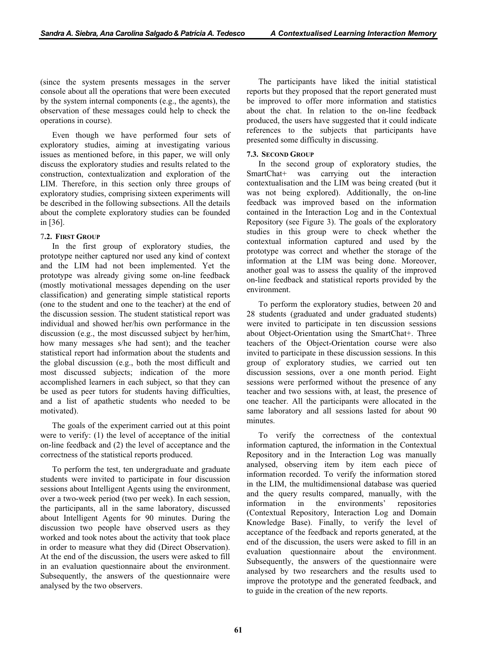(since the system presents messages in the server console about all the operations that were been executed by the system internal components (e.g., the agents), the observation of these messages could help to check the operations in course).

Even though we have performed four sets of exploratory studies, aiming at investigating various issues as mentioned before, in this paper, we will only discuss the exploratory studies and results related to the construction, contextualization and exploration of the LIM. Therefore, in this section only three groups of exploratory studies, comprising sixteen experiments will be described in the following subsections. All the details about the complete exploratory studies can be founded in [36].

## 7**.2. FIRST GROUP**

In the first group of exploratory studies, the prototype neither captured nor used any kind of context and the LIM had not been implemented. Yet the prototype was already giving some on-line feedback (mostly motivational messages depending on the user classification) and generating simple statistical reports (one to the student and one to the teacher) at the end of the discussion session. The student statistical report was individual and showed her/his own performance in the discussion (e.g., the most discussed subject by her/him, how many messages s/he had sent); and the teacher statistical report had information about the students and the global discussion (e.g., both the most difficult and most discussed subjects; indication of the more accomplished learners in each subject, so that they can be used as peer tutors for students having difficulties, and a list of apathetic students who needed to be motivated).

The goals of the experiment carried out at this point were to verify: (1) the level of acceptance of the initial on-line feedback and (2) the level of acceptance and the correctness of the statistical reports produced.

To perform the test, ten undergraduate and graduate students were invited to participate in four discussion sessions about Intelligent Agents using the environment, over a two-week period (two per week). In each session, the participants, all in the same laboratory, discussed about Intelligent Agents for 90 minutes. During the discussion two people have observed users as they worked and took notes about the activity that took place in order to measure what they did (Direct Observation). At the end of the discussion, the users were asked to fill in an evaluation questionnaire about the environment. Subsequently, the answers of the questionnaire were analysed by the two observers.

The participants have liked the initial statistical reports but they proposed that the report generated must be improved to offer more information and statistics about the chat. In relation to the on-line feedback produced, the users have suggested that it could indicate references to the subjects that participants have presented some difficulty in discussing.

## **7.3. SECOND GROUP**

In the second group of exploratory studies, the SmartChat+ was carrying out the interaction contextualisation and the LIM was being created (but it was not being explored). Additionally, the on-line feedback was improved based on the information contained in the Interaction Log and in the Contextual Repository (see Figure 3). The goals of the exploratory studies in this group were to check whether the contextual information captured and used by the prototype was correct and whether the storage of the information at the LIM was being done. Moreover, another goal was to assess the quality of the improved on-line feedback and statistical reports provided by the environment.

To perform the exploratory studies, between 20 and 28 students (graduated and under graduated students) were invited to participate in ten discussion sessions about Object-Orientation using the SmartChat+. Three teachers of the Object-Orientation course were also invited to participate in these discussion sessions. In this group of exploratory studies, we carried out ten discussion sessions, over a one month period. Eight sessions were performed without the presence of any teacher and two sessions with, at least, the presence of one teacher. All the participants were allocated in the same laboratory and all sessions lasted for about 90 minutes.

To verify the correctness of the contextual information captured, the information in the Contextual Repository and in the Interaction Log was manually analysed, observing item by item each piece of information recorded. To verify the information stored in the LIM, the multidimensional database was queried and the query results compared, manually, with the information in the environments' repositories (Contextual Repository, Interaction Log and Domain Knowledge Base). Finally, to verify the level of acceptance of the feedback and reports generated, at the end of the discussion, the users were asked to fill in an evaluation questionnaire about the environment. Subsequently, the answers of the questionnaire were analysed by two researchers and the results used to improve the prototype and the generated feedback, and to guide in the creation of the new reports.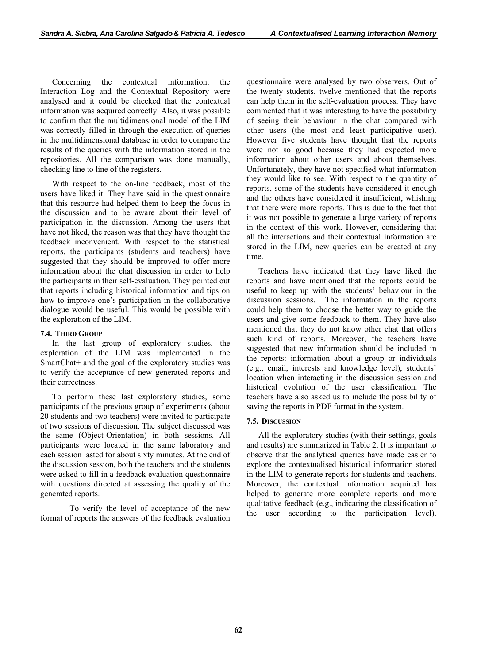Concerning the contextual information, the Interaction Log and the Contextual Repository were analysed and it could be checked that the contextual information was acquired correctly. Also, it was possible to confirm that the multidimensional model of the LIM was correctly filled in through the execution of queries in the multidimensional database in order to compare the results of the queries with the information stored in the repositories. All the comparison was done manually, checking line to line of the registers.

With respect to the on-line feedback, most of the users have liked it. They have said in the questionnaire that this resource had helped them to keep the focus in the discussion and to be aware about their level of participation in the discussion. Among the users that have not liked, the reason was that they have thought the feedback inconvenient. With respect to the statistical reports, the participants (students and teachers) have suggested that they should be improved to offer more information about the chat discussion in order to help the participants in their self-evaluation. They pointed out that reports including historical information and tips on how to improve one's participation in the collaborative dialogue would be useful. This would be possible with the exploration of the LIM.

#### **7.4. THIRD GROUP**

In the last group of exploratory studies, the exploration of the LIM was implemented in the SmartChat+ and the goal of the exploratory studies was to verify the acceptance of new generated reports and their correctness.

To perform these last exploratory studies, some participants of the previous group of experiments (about 20 students and two teachers) were invited to participate of two sessions of discussion. The subject discussed was the same (Object-Orientation) in both sessions. All participants were located in the same laboratory and each session lasted for about sixty minutes. At the end of the discussion session, both the teachers and the students were asked to fill in a feedback evaluation questionnaire with questions directed at assessing the quality of the generated reports.

 To verify the level of acceptance of the new format of reports the answers of the feedback evaluation

questionnaire were analysed by two observers. Out of the twenty students, twelve mentioned that the reports can help them in the self-evaluation process. They have commented that it was interesting to have the possibility of seeing their behaviour in the chat compared with other users (the most and least participative user). However five students have thought that the reports were not so good because they had expected more information about other users and about themselves. Unfortunately, they have not specified what information they would like to see. With respect to the quantity of reports, some of the students have considered it enough and the others have considered it insufficient, whishing that there were more reports. This is due to the fact that it was not possible to generate a large variety of reports in the context of this work. However, considering that all the interactions and their contextual information are stored in the LIM, new queries can be created at any time.

Teachers have indicated that they have liked the reports and have mentioned that the reports could be useful to keep up with the students' behaviour in the discussion sessions. The information in the reports could help them to choose the better way to guide the users and give some feedback to them. They have also mentioned that they do not know other chat that offers such kind of reports. Moreover, the teachers have suggested that new information should be included in the reports: information about a group or individuals (e.g., email, interests and knowledge level), students' location when interacting in the discussion session and historical evolution of the user classification. The teachers have also asked us to include the possibility of saving the reports in PDF format in the system.

#### **7.5. DISCUSSION**

All the exploratory studies (with their settings, goals and results) are summarized in Table 2. It is important to observe that the analytical queries have made easier to explore the contextualised historical information stored in the LIM to generate reports for students and teachers. Moreover, the contextual information acquired has helped to generate more complete reports and more qualitative feedback (e.g., indicating the classification of the user according to the participation level).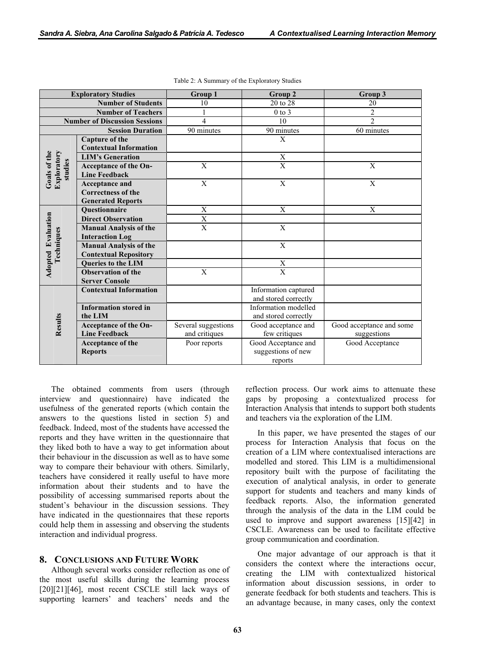| <b>Exploratory Studies</b>              |                                                        | Group 1                 | <b>Group 2</b>          | Group 3                  |
|-----------------------------------------|--------------------------------------------------------|-------------------------|-------------------------|--------------------------|
| <b>Number of Students</b>               |                                                        | 10                      | 20 to 28                | 20                       |
| <b>Number of Teachers</b>               |                                                        | 1                       | $0$ to $3$              | $\overline{2}$           |
| <b>Number of Discussion Sessions</b>    |                                                        | 4                       | 10                      | $\overline{2}$           |
| <b>Session Duration</b>                 |                                                        | 90 minutes              | 90 minutes              | 60 minutes               |
| Goals of the<br>Exploratory<br>studies  | <b>Capture of the</b><br><b>Contextual Information</b> |                         | X                       |                          |
|                                         | <b>LIM's Generation</b>                                |                         | $\mathbf X$             |                          |
|                                         | Acceptance of the On-                                  | $\mathbf{X}$            | $\mathbf{X}$            | $\mathbf{X}$             |
|                                         | <b>Line Feedback</b>                                   |                         |                         |                          |
|                                         | Acceptance and                                         | $\mathbf X$             | $\mathbf X$             | X                        |
|                                         | <b>Correctness of the</b>                              |                         |                         |                          |
|                                         | <b>Generated Reports</b>                               |                         |                         |                          |
| Adopted Evaluation<br><b>Techniques</b> | <b>Ouestionnaire</b>                                   | $\mathbf{X}$            | $\mathbf{X}$            | X                        |
|                                         | <b>Direct Observation</b>                              | X                       |                         |                          |
|                                         | <b>Manual Analysis of the</b>                          | $\overline{\mathrm{X}}$ | $\overline{\mathbf{X}}$ |                          |
|                                         | <b>Interaction Log</b>                                 |                         |                         |                          |
|                                         | <b>Manual Analysis of the</b>                          |                         | $\mathbf X$             |                          |
|                                         | <b>Contextual Repository</b>                           |                         |                         |                          |
|                                         | Queries to the LIM                                     |                         | $\mathbf X$             |                          |
|                                         | <b>Observation of the</b>                              | $\mathbf X$             | $\overline{\mathrm{X}}$ |                          |
|                                         | <b>Server Console</b>                                  |                         |                         |                          |
|                                         | <b>Contextual Information</b>                          |                         | Information captured    |                          |
|                                         |                                                        |                         | and stored correctly    |                          |
|                                         | <b>Information stored in</b>                           |                         | Information modelled    |                          |
|                                         | the LIM                                                |                         | and stored correctly    |                          |
| Results                                 | Acceptance of the On-                                  | Several suggestions     | Good acceptance and     | Good acceptance and some |
|                                         | <b>Line Feedback</b>                                   | and critiques           | few critiques           | suggestions              |
|                                         | <b>Acceptance of the</b>                               | Poor reports            | Good Acceptance and     | Good Acceptance          |
|                                         | <b>Reports</b>                                         |                         | suggestions of new      |                          |
|                                         |                                                        |                         | reports                 |                          |

Table 2: A Summary of the Exploratory Studies

The obtained comments from users (through interview and questionnaire) have indicated the usefulness of the generated reports (which contain the answers to the questions listed in section 5) and feedback. Indeed, most of the students have accessed the reports and they have written in the questionnaire that they liked both to have a way to get information about their behaviour in the discussion as well as to have some way to compare their behaviour with others. Similarly, teachers have considered it really useful to have more information about their students and to have the possibility of accessing summarised reports about the student's behaviour in the discussion sessions. They have indicated in the questionnaires that these reports could help them in assessing and observing the students interaction and individual progress.

#### **8. CONCLUSIONS AND FUTURE WORK**

Although several works consider reflection as one of the most useful skills during the learning process [20][21][46], most recent CSCLE still lack ways of supporting learners' and teachers' needs and the

reflection process. Our work aims to attenuate these gaps by proposing a contextualized process for Interaction Analysis that intends to support both students and teachers via the exploration of the LIM.

In this paper, we have presented the stages of our process for Interaction Analysis that focus on the creation of a LIM where contextualised interactions are modelled and stored. This LIM is a multidimensional repository built with the purpose of facilitating the execution of analytical analysis, in order to generate support for students and teachers and many kinds of feedback reports. Also, the information generated through the analysis of the data in the LIM could be used to improve and support awareness [15][42] in CSCLE. Awareness can be used to facilitate effective group communication and coordination.

One major advantage of our approach is that it considers the context where the interactions occur, creating the LIM with contextualized historical information about discussion sessions, in order to generate feedback for both students and teachers. This is an advantage because, in many cases, only the context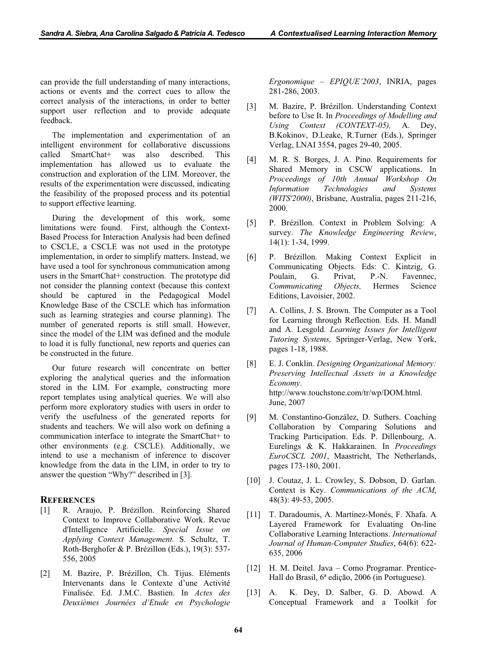can provide the full understanding of many interactions, actions or events and the correct cues to allow the correct analysis of the interactions, in order to better support user reflection and to provide adequate feedback.

The implementation and experimentation of an intelligent environment for collaborative discussions called SmartChat+ was also described. This implementation has allowed us to evaluate the construction and exploration of the LIM. Moreover, the results of the experimentation were discussed, indicating the feasibility of the proposed process and its potential to support effective learning.

During the development of this work, some limitations were found. First, although the Context-Based Process for Interaction Analysis had been defined to CSCLE, a CSCLE was not used in the prototype implementation, in order to simplify matters. Instead, we have used a tool for synchronous communication among users in the SmartChat+ construction. The prototype did not consider the planning context (because this context should be captured in the Pedagogical Model Knowledge Base of the CSCLE which has information such as learning strategies and course planning). The number of generated reports is still small. However, since the model of the LIM was defined and the module to load it is fully functional, new reports and queries can be constructed in the future.

Our future research will concentrate on better exploring the analytical queries and the information stored in the LIM. For example, constructing more report templates using analytical queries. We will also perform more exploratory studies with users in order to verify the usefulness of the generated reports for students and teachers. We will also work on defining a communication interface to integrate the SmartChat+ to other environments (e.g. CSCLE). Additionally, we intend to use a mechanism of inference to discover knowledge from the data in the LIM, in order to try to answer the question "Why?" described in [3].

#### **REFERENCES**

- [1] R. Araujo, P. Brézillon. Reinforcing Shared Context to Improve Collaborative Work. Revue d'Intelligence Artificielle. *Special Issue on Applying Context Management*. S. Schultz, T. Roth-Berghofer & P. Brézillon (Eds.), 19(3): 537- 556, 2005
- [2] M. Bazire, P. Brézillon, Ch. Tijus. Eléments Intervenants dans le Contexte d'une Activité Finalisée. Ed. J.M.C. Bastien. In *Actes des Deuxièmes Journées d'Etude en Psychologie*

*Ergonomique – EPIQUE'2003*, INRIA, pages 281-286, 2003.

- [3] M. Bazire, P. Brézillon. Understanding Context before to Use It. In *Proceedings of Modelling and Using Context (CONTEXT-05),* A. Dey, B.Kokinov, D.Leake, R.Turner (Eds.), Springer Verlag, LNAI 3554, pages 29-40, 2005.
- [4] M. R. S. Borges, J. A. Pino. Requirements for Shared Memory in CSCW applications. In *Proceedings of 10th Annual Workshop On Information Technologies and Systems (WITS'2000)*, Brisbane, Australia, pages 211-216, 2000.
- [5] P. Brézillon. Context in Problem Solving: A survey. *The Knowledge Engineering Review*, 14(1): 1-34, 1999.
- [6] P. Brézillon. Making Context Explicit in Communicating Objects. Eds: C. Kintzig, G. Poulain, G. Privat, P.-N. Favennec, *Communicating Objects,* Hermes Science Editions, Lavoisier, 2002.
- [7] A. Collins, J. S. Brown. The Computer as a Tool for Learning through Reflection. Eds. H. Mandl and A. Lesgold. *Learning Issues for Intelligent Tutoring Systems,* Springer-Verlag, New York, pages 1-18, 1988.
- [8] E. J. Conklin. *Designing Organizational Memory: Preserving Intellectual Assets in a Knowledge Economy*. http://www.touchstone.com/tr/wp/DOM.html. June, 2007
- [9] M. Constantino-González, D. Suthers. Coaching Collaboration by Comparing Solutions and Tracking Participation. Eds. P. Dillenbourg, A. Eurelings & K. Hakkarainen. In *Proceedings EuroCSCL 2001*, Maastricht, The Netherlands, pages 173-180, 2001.
- [10] J. Coutaz, J. L. Crowley, S. Dobson, D. Garlan. Context is Key. *Communications of the ACM*, 48(3): 49-53, 2005.
- [11] T. Daradoumis, A. Martínez-Monés, F. Xhafa. A Layered Framework for Evaluating On-line Collaborative Learning Interactions. *International Journal of Human-Computer Studies*, 64(6): 622- 635, 2006
- [12] H. M. Deitel. Java Como Programar. Prentice-Hall do Brasil, 6ª edição, 2006 (in Portuguese).
- [13] A. K. Dey, D. Salber, G. D. Abowd. A Conceptual Framework and a Toolkit for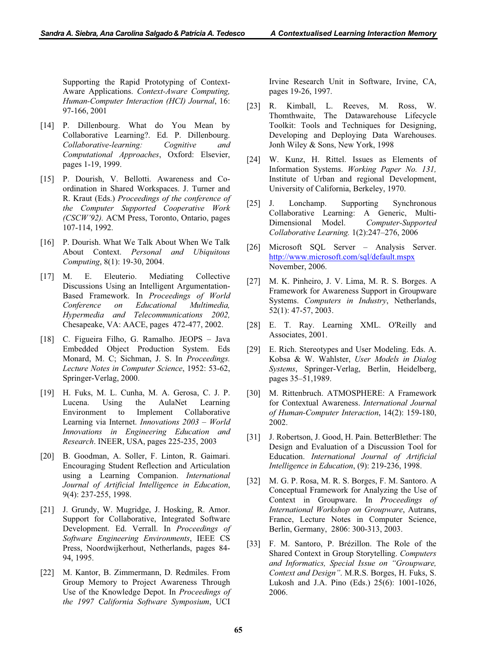Supporting the Rapid Prototyping of Context-Aware Applications. *Context-Aware Computing, Human-Computer Interaction (HCI) Journal*, 16: 97-166, 2001

- [14] P. Dillenbourg. What do You Mean by Collaborative Learning?. Ed. P. Dillenbourg. *Collaborative-learning: Cognitive and Computational Approaches*, Oxford: Elsevier, pages 1-19, 1999.
- [15] P. Dourish, V. Bellotti. Awareness and Coordination in Shared Workspaces. J. Turner and R. Kraut (Eds.) *Proceedings of the conference of the Computer Supported Cooperative Work (CSCW'92).* ACM Press, Toronto, Ontario, pages 107-114, 1992.
- [16] P. Dourish. What We Talk About When We Talk About Context. *Personal and Ubiquitous Computing*, 8(1): 19-30, 2004.
- [17] M. E. Eleuterio. Mediating Collective Discussions Using an Intelligent Argumentation-Based Framework. In *Proceedings of World Conference on Educational Multimedia, Hypermedia and Telecommunications 2002,* Chesapeake, VA: AACE, pages 472-477, 2002.
- [18] C. Figueira Filho, G. Ramalho. JEOPS Java Embedded Object Production System. Eds Monard, M. C; Sichman, J. S. In *Proceedings. Lecture Notes in Computer Science*, 1952: 53-62, Springer-Verlag, 2000.
- [19] H. Fuks, M. L. Cunha, M. A. Gerosa, C. J. P. Lucena. Using the AulaNet Learning Environment to Implement Collaborative Learning via Internet. *Innovations 2003 – World Innovations in Engineering Education and Research*. INEER, USA, pages 225-235, 2003
- [20] B. Goodman, A. Soller, F. Linton, R. Gaimari. Encouraging Student Reflection and Articulation using a Learning Companion. *International Journal of Artificial Intelligence in Education*, 9(4): 237-255, 1998.
- [21] J. Grundy, W. Mugridge, J. Hosking, R. Amor. Support for Collaborative, Integrated Software Development. Ed. Verrall. In *Proceedings of Software Engineering Environments*, IEEE CS Press, Noordwijkerhout, Netherlands, pages 84- 94, 1995.
- [22] M. Kantor, B. Zimmermann, D. Redmiles. From Group Memory to Project Awareness Through Use of the Knowledge Depot. In *Proceedings of the 1997 California Software Symposium*, UCI

Irvine Research Unit in Software, Irvine, CA, pages 19-26, 1997.

- [23] R. Kimball, L. Reeves, M. Ross, W. Thomthwaite, The Datawarehouse Lifecycle Toolkit: Tools and Techniques for Designing, Developing and Deploying Data Warehouses. Jonh Wiley & Sons, New York, 1998
- [24] W. Kunz, H. Rittel. Issues as Elements of Information Systems. *Working Paper No. 131,*  Institute of Urban and regional Development, University of California, Berkeley, 1970.
- [25] J. Lonchamp. Supporting Synchronous Collaborative Learning: A Generic, Multi-Dimensional Model. *Computer-Supported Collaborative Learning.* 1(2):247–276, 2006
- [26] Microsoft SQL Server Analysis Server. http://www.microsoft.com/sql/default.mspx November, 2006.
- [27] M. K. Pinheiro, J. V. Lima, M. R. S. Borges. A Framework for Awareness Support in Groupware Systems. *Computers in Industry*, Netherlands, 52(1): 47-57, 2003.
- [28] E. T. Ray. Learning XML. O'Reilly and Associates, 2001.
- [29] E. Rich. Stereotypes and User Modeling. Eds. A. Kobsa & W. Wahlster, *User Models in Dialog Systems*, Springer-Verlag, Berlin, Heidelberg, pages 35–51,1989.
- [30] M. Rittenbruch. ATMOSPHERE: A Framework for Contextual Awareness. *International Journal of Human-Computer Interaction*, 14(2): 159-180, 2002.
- [31] J. Robertson, J. Good, H. Pain. BetterBlether: The Design and Evaluation of a Discussion Tool for Education. *International Journal of Artificial Intelligence in Education*, (9): 219-236, 1998.
- [32] M. G. P. Rosa, M. R. S. Borges, F. M. Santoro. A Conceptual Framework for Analyzing the Use of Context in Groupware. In *Proceedings of International Workshop on Groupware*, Autrans, France, Lecture Notes in Computer Science, Berlin, Germany, 2806: 300-313, 2003.
- [33] F. M. Santoro, P. Brézillon. The Role of the Shared Context in Group Storytelling. *Computers and Informatics, Special Issue on "Groupware, Context and Design"*. M.R.S. Borges, H. Fuks, S. Lukosh and J.A. Pino (Eds.) 25(6): 1001-1026, 2006.